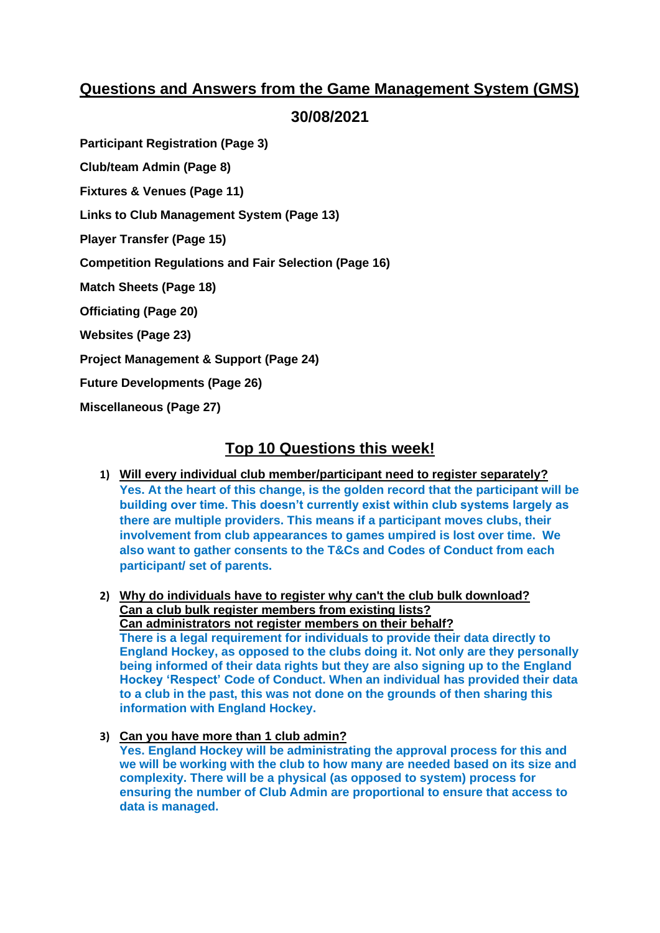# **Questions and Answers from the Game Management System (GMS)**

**30/08/2021**

**Participant Registration (Page 3)**

**Club/team Admin (Page 8)**

**Fixtures & Venues (Page 11)**

**Links to Club Management System (Page 13)**

**Player Transfer (Page 15)**

**Competition Regulations and Fair Selection (Page 16)**

**Match Sheets (Page 18)**

**Officiating (Page 20)**

**Websites (Page 23)**

**Project Management & Support (Page 24)**

**Future Developments (Page 26)**

**Miscellaneous (Page 27)**

# **Top 10 Questions this week!**

- **1) Will every individual club member/participant need to register separately? Yes. At the heart of this change, is the golden record that the participant will be building over time. This doesn't currently exist within club systems largely as there are multiple providers. This means if a participant moves clubs, their involvement from club appearances to games umpired is lost over time. We also want to gather consents to the T&Cs and Codes of Conduct from each participant/ set of parents.**
- **2) Why do individuals have to register why can't the club bulk download? Can a club bulk register members from existing lists? Can administrators not register members on their behalf? There is a legal requirement for individuals to provide their data directly to England Hockey, as opposed to the clubs doing it. Not only are they personally being informed of their data rights but they are also signing up to the England Hockey 'Respect' Code of Conduct. When an individual has provided their data to a club in the past, this was not done on the grounds of then sharing this information with England Hockey.**
- **3) Can you have more than 1 club admin? Yes. England Hockey will be administrating the approval process for this and we will be working with the club to how many are needed based on its size and complexity. There will be a physical (as opposed to system) process for ensuring the number of Club Admin are proportional to ensure that access to data is managed.**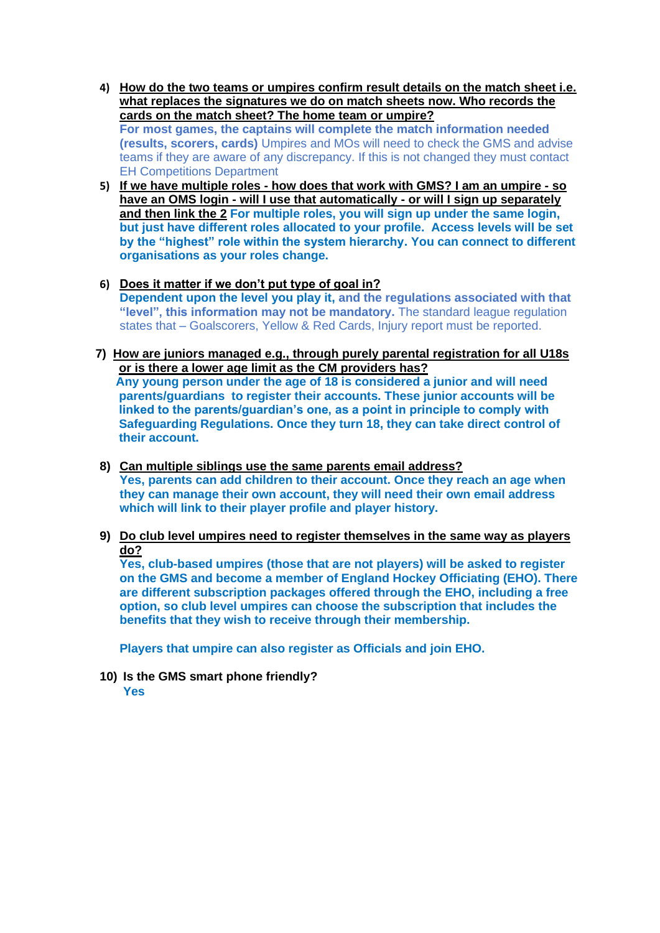- **4) How do the two teams or umpires confirm result details on the match sheet i.e. what replaces the signatures we do on match sheets now. Who records the cards on the match sheet? The home team or umpire? For most games, the captains will complete the match information needed (results, scorers, cards)** Umpires and MOs will need to check the GMS and advise teams if they are aware of any discrepancy. If this is not changed they must contact EH Competitions Department
- **5) If we have multiple roles - how does that work with GMS? I am an umpire - so have an OMS login - will I use that automatically - or will I sign up separately and then link the 2 For multiple roles, you will sign up under the same login, but just have different roles allocated to your profile. Access levels will be set by the "highest" role within the system hierarchy. You can connect to different organisations as your roles change.**
- **6) Does it matter if we don't put type of goal in? Dependent upon the level you play it, and the regulations associated with that "level", this information may not be mandatory.** The standard league regulation states that – Goalscorers, Yellow & Red Cards, Injury report must be reported.
- **7) How are juniors managed e.g., through purely parental registration for all U18s or is there a lower age limit as the CM providers has?**

 **Any young person under the age of 18 is considered a junior and will need parents/guardians to register their accounts. These junior accounts will be linked to the parents/guardian's one, as a point in principle to comply with Safeguarding Regulations. Once they turn 18, they can take direct control of their account.**

- **8) Can multiple siblings use the same parents email address? Yes, parents can add children to their account. Once they reach an age when they can manage their own account, they will need their own email address which will link to their player profile and player history.**
- **9) Do club level umpires need to register themselves in the same way as players do?**

**Yes, club-based umpires (those that are not players) will be asked to register on the GMS and become a member of England Hockey Officiating (EHO). There are different subscription packages offered through the EHO, including a free option, so club level umpires can choose the subscription that includes the benefits that they wish to receive through their membership.**

**Players that umpire can also register as Officials and join EHO.**

**10) Is the GMS smart phone friendly?**

**Yes**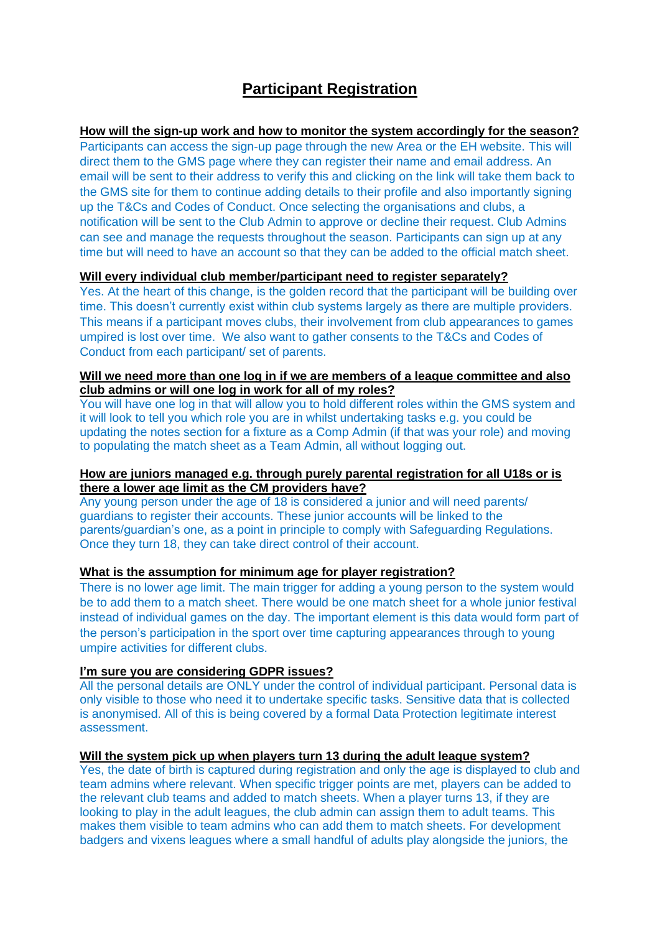# **Participant Registration**

**How will the sign-up work and how to monitor the system accordingly for the season?**  Participants can access the sign-up page through the new Area or the EH website. This will direct them to the GMS page where they can register their name and email address. An email will be sent to their address to verify this and clicking on the link will take them back to the GMS site for them to continue adding details to their profile and also importantly signing up the T&Cs and Codes of Conduct. Once selecting the organisations and clubs, a notification will be sent to the Club Admin to approve or decline their request. Club Admins can see and manage the requests throughout the season. Participants can sign up at any time but will need to have an account so that they can be added to the official match sheet.

## **Will every individual club member/participant need to register separately?**

Yes. At the heart of this change, is the golden record that the participant will be building over time. This doesn't currently exist within club systems largely as there are multiple providers. This means if a participant moves clubs, their involvement from club appearances to games umpired is lost over time. We also want to gather consents to the T&Cs and Codes of Conduct from each participant/ set of parents.

## **Will we need more than one log in if we are members of a league committee and also club admins or will one log in work for all of my roles?**

You will have one log in that will allow you to hold different roles within the GMS system and it will look to tell you which role you are in whilst undertaking tasks e.g. you could be updating the notes section for a fixture as a Comp Admin (if that was your role) and moving to populating the match sheet as a Team Admin, all without logging out.

#### **How are juniors managed e.g. through purely parental registration for all U18s or is there a lower age limit as the CM providers have?**

Any young person under the age of 18 is considered a junior and will need parents/ guardians to register their accounts. These junior accounts will be linked to the parents/guardian's one, as a point in principle to comply with Safeguarding Regulations. Once they turn 18, they can take direct control of their account.

## **What is the assumption for minimum age for player registration?**

There is no lower age limit. The main trigger for adding a young person to the system would be to add them to a match sheet. There would be one match sheet for a whole junior festival instead of individual games on the day. The important element is this data would form part of the person's participation in the sport over time capturing appearances through to young umpire activities for different clubs.

### **I'm sure you are considering GDPR issues?**

All the personal details are ONLY under the control of individual participant. Personal data is only visible to those who need it to undertake specific tasks. Sensitive data that is collected is anonymised. All of this is being covered by a formal Data Protection legitimate interest assessment.

#### **Will the system pick up when players turn 13 during the adult league system?**

Yes, the date of birth is captured during registration and only the age is displayed to club and team admins where relevant. When specific trigger points are met, players can be added to the relevant club teams and added to match sheets. When a player turns 13, if they are looking to play in the adult leagues, the club admin can assign them to adult teams. This makes them visible to team admins who can add them to match sheets. For development badgers and vixens leagues where a small handful of adults play alongside the juniors, the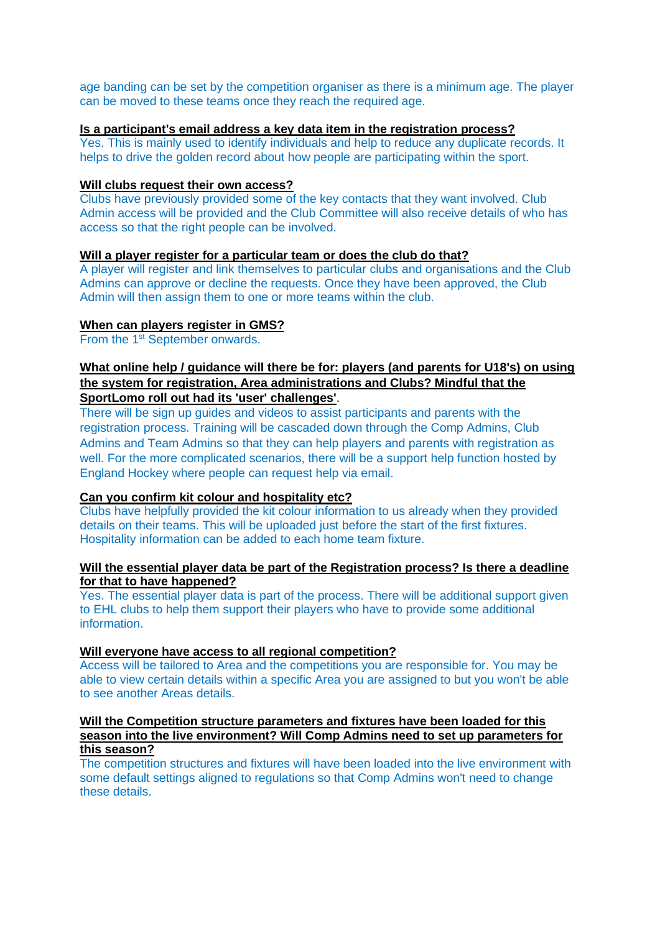age banding can be set by the competition organiser as there is a minimum age. The player can be moved to these teams once they reach the required age.

## **Is a participant's email address a key data item in the registration process?**

Yes. This is mainly used to identify individuals and help to reduce any duplicate records. It helps to drive the golden record about how people are participating within the sport.

#### **Will clubs request their own access?**

Clubs have previously provided some of the key contacts that they want involved. Club Admin access will be provided and the Club Committee will also receive details of who has access so that the right people can be involved.

#### **Will a player register for a particular team or does the club do that?**

A player will register and link themselves to particular clubs and organisations and the Club Admins can approve or decline the requests. Once they have been approved, the Club Admin will then assign them to one or more teams within the club.

#### **When can players register in GMS?**

From the 1<sup>st</sup> September onwards.

## **What online help / guidance will there be for: players (and parents for U18's) on using the system for registration, Area administrations and Clubs? Mindful that the SportLomo roll out had its 'user' challenges'**.

There will be sign up guides and videos to assist participants and parents with the registration process. Training will be cascaded down through the Comp Admins, Club Admins and Team Admins so that they can help players and parents with registration as well. For the more complicated scenarios, there will be a support help function hosted by England Hockey where people can request help via email.

# **Can you confirm kit colour and hospitality etc?**

Clubs have helpfully provided the kit colour information to us already when they provided details on their teams. This will be uploaded just before the start of the first fixtures. Hospitality information can be added to each home team fixture.

### **Will the essential player data be part of the Registration process? Is there a deadline for that to have happened?**

Yes. The essential player data is part of the process. There will be additional support given to EHL clubs to help them support their players who have to provide some additional information.

#### **Will everyone have access to all regional competition?**

Access will be tailored to Area and the competitions you are responsible for. You may be able to view certain details within a specific Area you are assigned to but you won't be able to see another Areas details.

#### **Will the Competition structure parameters and fixtures have been loaded for this season into the live environment? Will Comp Admins need to set up parameters for this season?**

The competition structures and fixtures will have been loaded into the live environment with some default settings aligned to regulations so that Comp Admins won't need to change these details.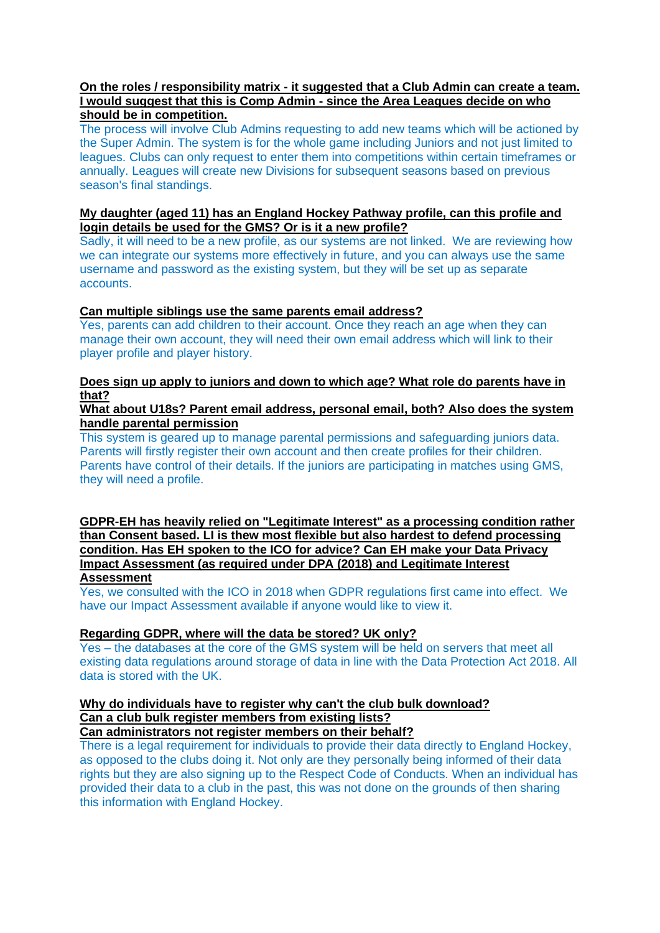## **On the roles / responsibility matrix - it suggested that a Club Admin can create a team. I would suggest that this is Comp Admin - since the Area Leagues decide on who should be in competition.**

The process will involve Club Admins requesting to add new teams which will be actioned by the Super Admin. The system is for the whole game including Juniors and not just limited to leagues. Clubs can only request to enter them into competitions within certain timeframes or annually. Leagues will create new Divisions for subsequent seasons based on previous season's final standings.

## **My daughter (aged 11) has an England Hockey Pathway profile, can this profile and login details be used for the GMS? Or is it a new profile?**

Sadly, it will need to be a new profile, as our systems are not linked. We are reviewing how we can integrate our systems more effectively in future, and you can always use the same username and password as the existing system, but they will be set up as separate accounts.

## **Can multiple siblings use the same parents email address?**

Yes, parents can add children to their account. Once they reach an age when they can manage their own account, they will need their own email address which will link to their player profile and player history.

## **Does sign up apply to juniors and down to which age? What role do parents have in that?**

## **What about U18s? Parent email address, personal email, both? Also does the system handle parental permission**

This system is geared up to manage parental permissions and safeguarding juniors data. Parents will firstly register their own account and then create profiles for their children. Parents have control of their details. If the juniors are participating in matches using GMS, they will need a profile.

**GDPR-EH has heavily relied on "Legitimate Interest" as a processing condition rather than Consent based. LI is thew most flexible but also hardest to defend processing condition. Has EH spoken to the ICO for advice? Can EH make your Data Privacy Impact Assessment (as required under DPA (2018) and Legitimate Interest Assessment**

Yes, we consulted with the ICO in 2018 when GDPR regulations first came into effect. We have our Impact Assessment available if anyone would like to view it.

#### **Regarding GDPR, where will the data be stored? UK only?**

Yes – the databases at the core of the GMS system will be held on servers that meet all existing data regulations around storage of data in line with the Data Protection Act 2018. All data is stored with the UK.

#### **Why do individuals have to register why can't the club bulk download? Can a club bulk register members from existing lists? Can administrators not register members on their behalf?**

There is a legal requirement for individuals to provide their data directly to England Hockey, as opposed to the clubs doing it. Not only are they personally being informed of their data rights but they are also signing up to the Respect Code of Conducts. When an individual has provided their data to a club in the past, this was not done on the grounds of then sharing this information with England Hockey.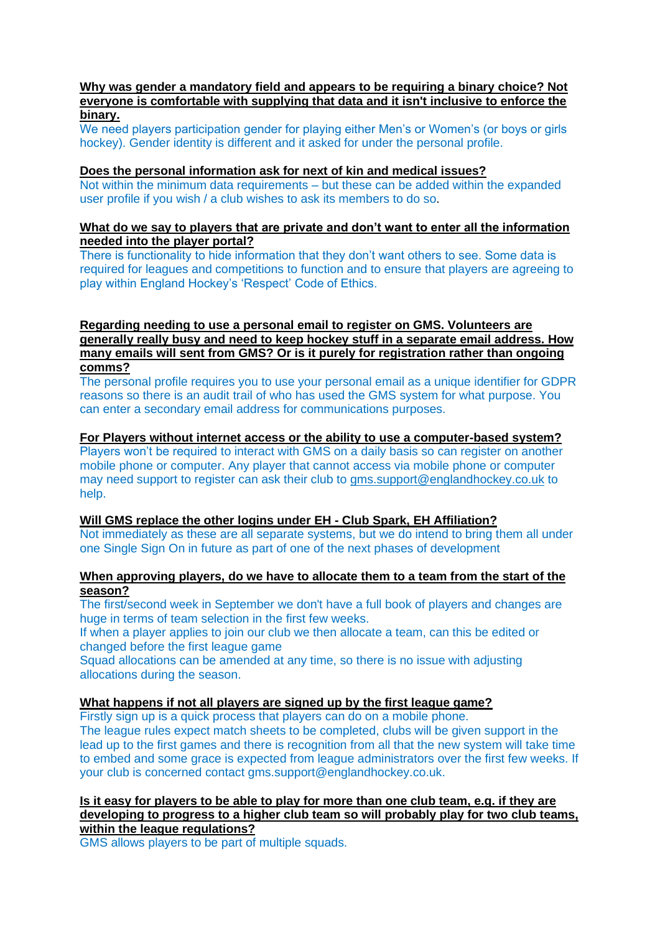### **Why was gender a mandatory field and appears to be requiring a binary choice? Not everyone is comfortable with supplying that data and it isn't inclusive to enforce the binary.**

We need players participation gender for playing either Men's or Women's (or boys or girls hockey). Gender identity is different and it asked for under the personal profile.

## **Does the personal information ask for next of kin and medical issues?**

Not within the minimum data requirements – but these can be added within the expanded user profile if you wish / a club wishes to ask its members to do so.

## **What do we say to players that are private and don't want to enter all the information needed into the player portal?**

There is functionality to hide information that they don't want others to see. Some data is required for leagues and competitions to function and to ensure that players are agreeing to play within England Hockey's 'Respect' Code of Ethics.

## **Regarding needing to use a personal email to register on GMS. Volunteers are generally really busy and need to keep hockey stuff in a separate email address. How many emails will sent from GMS? Or is it purely for registration rather than ongoing comms?**

The personal profile requires you to use your personal email as a unique identifier for GDPR reasons so there is an audit trail of who has used the GMS system for what purpose. You can enter a secondary email address for communications purposes.

# **For Players without internet access or the ability to use a computer-based system?**

Players won't be required to interact with GMS on a daily basis so can register on another mobile phone or computer. Any player that cannot access via mobile phone or computer may need support to register can ask their club to [gms.support@englandhockey.co.uk](mailto:gms.support@englandhockey.co.uk) to help.

# **Will GMS replace the other logins under EH - Club Spark, EH Affiliation?**

Not immediately as these are all separate systems, but we do intend to bring them all under one Single Sign On in future as part of one of the next phases of development

# **When approving players, do we have to allocate them to a team from the start of the season?**

The first/second week in September we don't have a full book of players and changes are huge in terms of team selection in the first few weeks.

If when a player applies to join our club we then allocate a team, can this be edited or changed before the first league game

Squad allocations can be amended at any time, so there is no issue with adjusting allocations during the season.

# **What happens if not all players are signed up by the first league game?**

Firstly sign up is a quick process that players can do on a mobile phone. The league rules expect match sheets to be completed, clubs will be given support in the lead up to the first games and there is recognition from all that the new system will take time to embed and some grace is expected from league administrators over the first few weeks. If your club is concerned contact gms.support@englandhockey.co.uk.

#### **Is it easy for players to be able to play for more than one club team, e.g. if they are developing to progress to a higher club team so will probably play for two club teams, within the league regulations?**

GMS allows players to be part of multiple squads.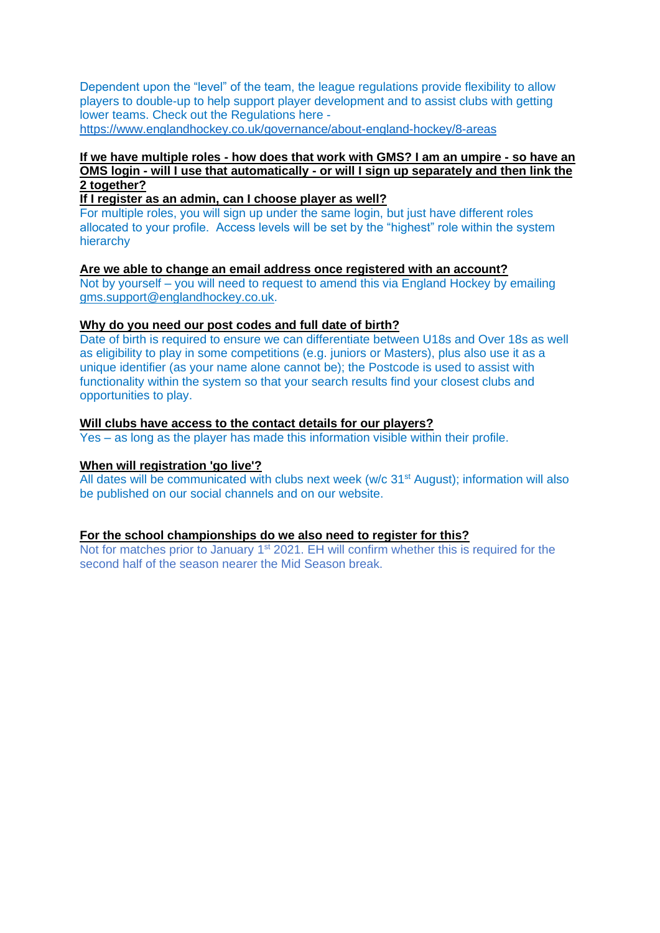Dependent upon the "level" of the team, the league regulations provide flexibility to allow players to double-up to help support player development and to assist clubs with getting lower teams. Check out the Regulations here <https://www.englandhockey.co.uk/governance/about-england-hockey/8-areas>

# **If we have multiple roles - how does that work with GMS? I am an umpire - so have an OMS login - will I use that automatically - or will I sign up separately and then link the 2 together?**

**If I register as an admin, can I choose player as well?**

For multiple roles, you will sign up under the same login, but just have different roles allocated to your profile. Access levels will be set by the "highest" role within the system hierarchy

**Are we able to change an email address once registered with an account?** Not by yourself – you will need to request to amend this via England Hockey by emailing [gms.support@englandhockey.co.uk.](mailto:gms.support@englandhockey.co.uk)

## **Why do you need our post codes and full date of birth?**

Date of birth is required to ensure we can differentiate between U18s and Over 18s as well as eligibility to play in some competitions (e.g. juniors or Masters), plus also use it as a unique identifier (as your name alone cannot be); the Postcode is used to assist with functionality within the system so that your search results find your closest clubs and opportunities to play.

## **Will clubs have access to the contact details for our players?**

Yes – as long as the player has made this information visible within their profile.

### **When will registration 'go live'?**

All dates will be communicated with clubs next week (w/c 31<sup>st</sup> August); information will also be published on our social channels and on our website.

#### **For the school championships do we also need to register for this?**

Not for matches prior to January 1<sup>st</sup> 2021. EH will confirm whether this is required for the second half of the season nearer the Mid Season break.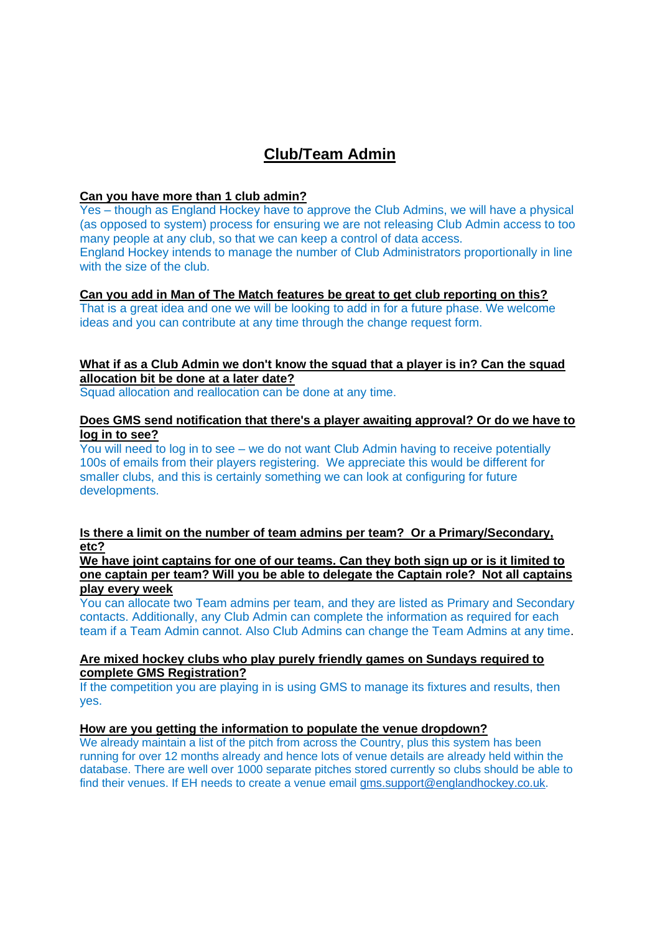# **Club/Team Admin**

## **Can you have more than 1 club admin?**

Yes – though as England Hockey have to approve the Club Admins, we will have a physical (as opposed to system) process for ensuring we are not releasing Club Admin access to too many people at any club, so that we can keep a control of data access. England Hockey intends to manage the number of Club Administrators proportionally in line with the size of the club.

# **Can you add in Man of The Match features be great to get club reporting on this?**

That is a great idea and one we will be looking to add in for a future phase. We welcome ideas and you can contribute at any time through the change request form.

# **What if as a Club Admin we don't know the squad that a player is in? Can the squad allocation bit be done at a later date?**

Squad allocation and reallocation can be done at any time.

### **Does GMS send notification that there's a player awaiting approval? Or do we have to log in to see?**

You will need to log in to see – we do not want Club Admin having to receive potentially 100s of emails from their players registering. We appreciate this would be different for smaller clubs, and this is certainly something we can look at configuring for future developments.

## **Is there a limit on the number of team admins per team? Or a Primary/Secondary, etc?**

**We have joint captains for one of our teams. Can they both sign up or is it limited to one captain per team? Will you be able to delegate the Captain role? Not all captains play every week**

You can allocate two Team admins per team, and they are listed as Primary and Secondary contacts. Additionally, any Club Admin can complete the information as required for each team if a Team Admin cannot. Also Club Admins can change the Team Admins at any time.

## **Are mixed hockey clubs who play purely friendly games on Sundays required to complete GMS Registration?**

If the competition you are playing in is using GMS to manage its fixtures and results, then yes.

### **How are you getting the information to populate the venue dropdown?**

We already maintain a list of the pitch from across the Country, plus this system has been running for over 12 months already and hence lots of venue details are already held within the database. There are well over 1000 separate pitches stored currently so clubs should be able to find their venues. If EH needs to create a venue email [gms.support@englandhockey.co.uk.](mailto:gms.support@englandhockey.co.uk)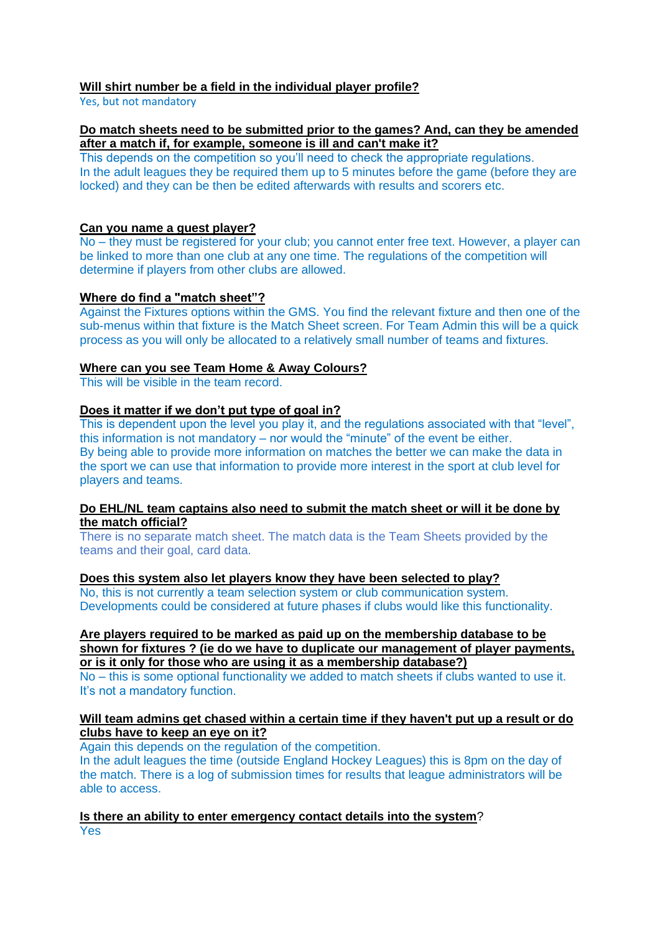# **Will shirt number be a field in the individual player profile?**

Yes, but not mandatory

# **Do match sheets need to be submitted prior to the games? And, can they be amended after a match if, for example, someone is ill and can't make it?**

This depends on the competition so you'll need to check the appropriate regulations. In the adult leagues they be required them up to 5 minutes before the game (before they are locked) and they can be then be edited afterwards with results and scorers etc.

# **Can you name a guest player?**

No – they must be registered for your club; you cannot enter free text. However, a player can be linked to more than one club at any one time. The regulations of the competition will determine if players from other clubs are allowed.

# **Where do find a "match sheet"?**

Against the Fixtures options within the GMS. You find the relevant fixture and then one of the sub-menus within that fixture is the Match Sheet screen. For Team Admin this will be a quick process as you will only be allocated to a relatively small number of teams and fixtures.

# **Where can you see Team Home & Away Colours?**

This will be visible in the team record.

# **Does it matter if we don't put type of goal in?**

This is dependent upon the level you play it, and the regulations associated with that "level", this information is not mandatory – nor would the "minute" of the event be either. By being able to provide more information on matches the better we can make the data in the sport we can use that information to provide more interest in the sport at club level for players and teams.

## **Do EHL/NL team captains also need to submit the match sheet or will it be done by the match official?**

There is no separate match sheet. The match data is the Team Sheets provided by the teams and their goal, card data.

# **Does this system also let players know they have been selected to play?**

No, this is not currently a team selection system or club communication system. Developments could be considered at future phases if clubs would like this functionality.

#### **Are players required to be marked as paid up on the membership database to be shown for fixtures ? (ie do we have to duplicate our management of player payments, or is it only for those who are using it as a membership database?)**

No – this is some optional functionality we added to match sheets if clubs wanted to use it. It's not a mandatory function.

# **Will team admins get chased within a certain time if they haven't put up a result or do clubs have to keep an eye on it?**

Again this depends on the regulation of the competition.

In the adult leagues the time (outside England Hockey Leagues) this is 8pm on the day of the match. There is a log of submission times for results that league administrators will be able to access.

**Is there an ability to enter emergency contact details into the system**? Yes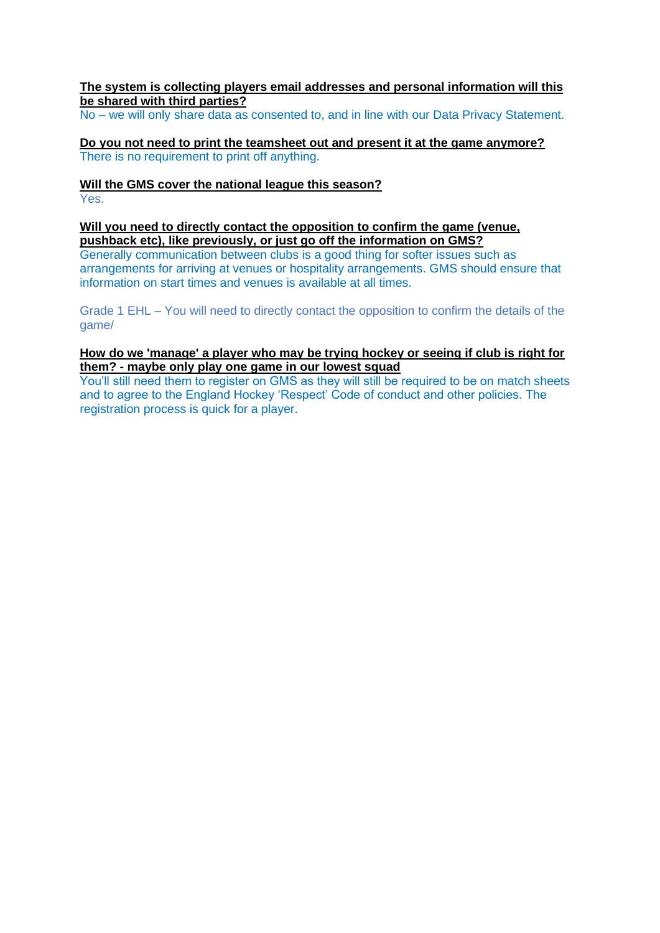## **The system is collecting players email addresses and personal information will this be shared with third parties?**

No – we will only share data as consented to, and in line with our Data Privacy Statement.

**Do you not need to print the teamsheet out and present it at the game anymore?** There is no requirement to print off anything.

# **Will the GMS cover the national league this season?**

Yes.

## **Will you need to directly contact the opposition to confirm the game (venue, pushback etc), like previously, or just go off the information on GMS?**

Generally communication between clubs is a good thing for softer issues such as arrangements for arriving at venues or hospitality arrangements. GMS should ensure that information on start times and venues is available at all times.

Grade 1 EHL – You will need to directly contact the opposition to confirm the details of the game/

## **How do we 'manage' a player who may be trying hockey or seeing if club is right for them? - maybe only play one game in our lowest squad**

You'll still need them to register on GMS as they will still be required to be on match sheets and to agree to the England Hockey 'Respect' Code of conduct and other policies. The registration process is quick for a player.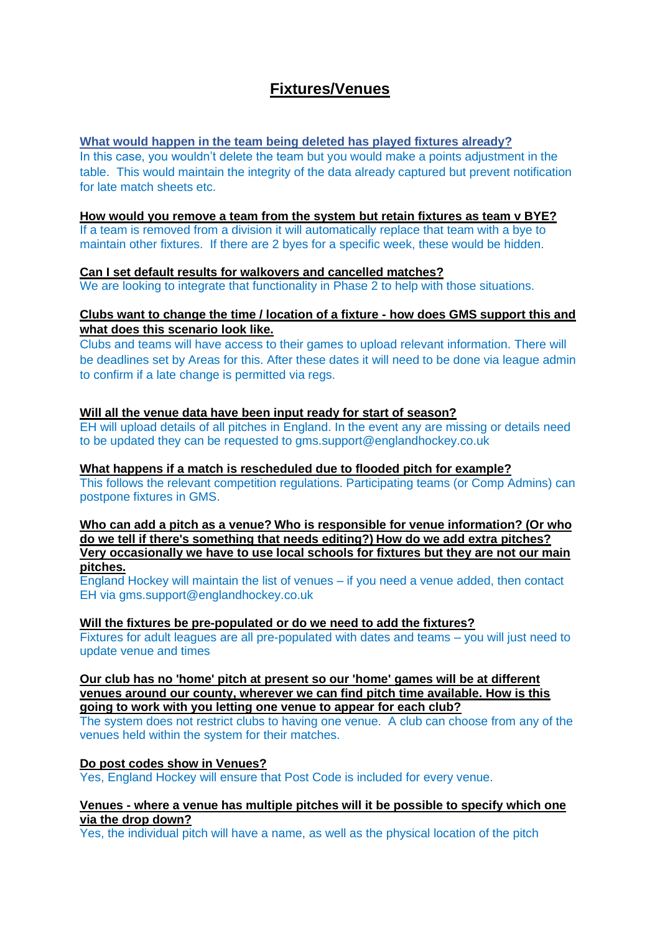# **Fixtures/Venues**

# **What would happen in the team being deleted has played fixtures already?**

In this case, you wouldn't delete the team but you would make a points adjustment in the table. This would maintain the integrity of the data already captured but prevent notification for late match sheets etc.

## **How would you remove a team from the system but retain fixtures as team v BYE?**

If a team is removed from a division it will automatically replace that team with a bye to maintain other fixtures. If there are 2 byes for a specific week, these would be hidden.

## **Can I set default results for walkovers and cancelled matches?**

We are looking to integrate that functionality in Phase 2 to help with those situations.

## **Clubs want to change the time / location of a fixture - how does GMS support this and what does this scenario look like.**

Clubs and teams will have access to their games to upload relevant information. There will be deadlines set by Areas for this. After these dates it will need to be done via league admin to confirm if a late change is permitted via regs.

## **Will all the venue data have been input ready for start of season?**

EH will upload details of all pitches in England. In the event any are missing or details need to be updated they can be requested to gms.support@englandhockey.co.uk

### **What happens if a match is rescheduled due to flooded pitch for example?**

This follows the relevant competition regulations. Participating teams (or Comp Admins) can postpone fixtures in GMS.

**Who can add a pitch as a venue? Who is responsible for venue information? (Or who do we tell if there's something that needs editing?) How do we add extra pitches? Very occasionally we have to use local schools for fixtures but they are not our main pitches.**

England Hockey will maintain the list of venues – if you need a venue added, then contact EH via gms.support@englandhockey.co.uk

#### **Will the fixtures be pre-populated or do we need to add the fixtures?**

Fixtures for adult leagues are all pre-populated with dates and teams – you will just need to update venue and times

**Our club has no 'home' pitch at present so our 'home' games will be at different venues around our county, wherever we can find pitch time available. How is this going to work with you letting one venue to appear for each club?**

The system does not restrict clubs to having one venue. A club can choose from any of the venues held within the system for their matches.

# **Do post codes show in Venues?**

Yes, England Hockey will ensure that Post Code is included for every venue.

### **Venues - where a venue has multiple pitches will it be possible to specify which one via the drop down?**

Yes, the individual pitch will have a name, as well as the physical location of the pitch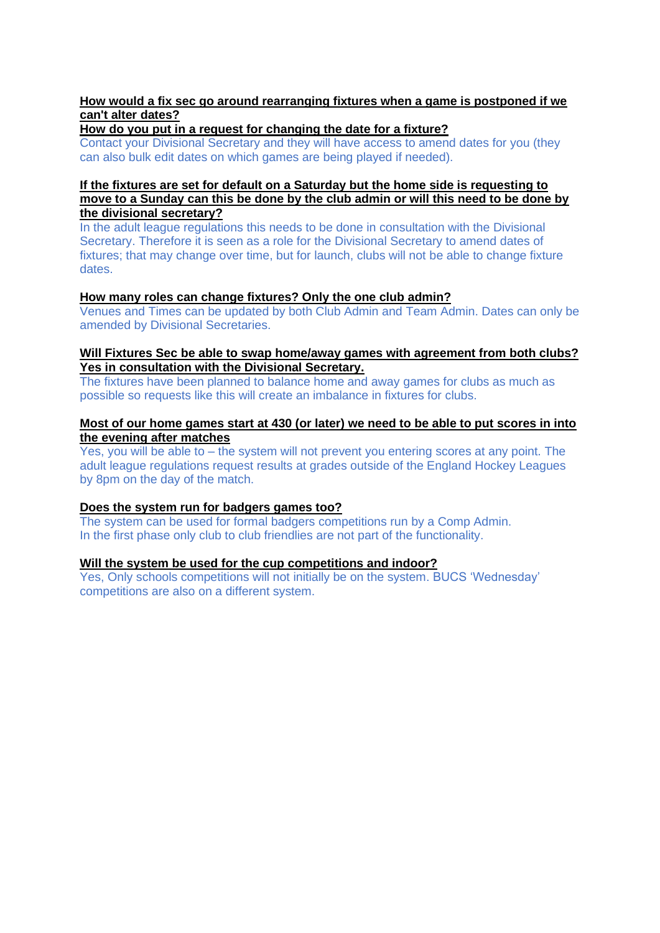# **How would a fix sec go around rearranging fixtures when a game is postponed if we can't alter dates?**

**How do you put in a request for changing the date for a fixture?**

Contact your Divisional Secretary and they will have access to amend dates for you (they can also bulk edit dates on which games are being played if needed).

## **If the fixtures are set for default on a Saturday but the home side is requesting to move to a Sunday can this be done by the club admin or will this need to be done by the divisional secretary?**

In the adult league regulations this needs to be done in consultation with the Divisional Secretary. Therefore it is seen as a role for the Divisional Secretary to amend dates of fixtures; that may change over time, but for launch, clubs will not be able to change fixture dates.

## **How many roles can change fixtures? Only the one club admin?**

Venues and Times can be updated by both Club Admin and Team Admin. Dates can only be amended by Divisional Secretaries.

## **Will Fixtures Sec be able to swap home/away games with agreement from both clubs? Yes in consultation with the Divisional Secretary.**

The fixtures have been planned to balance home and away games for clubs as much as possible so requests like this will create an imbalance in fixtures for clubs.

## **Most of our home games start at 430 (or later) we need to be able to put scores in into the evening after matches**

Yes, you will be able to – the system will not prevent you entering scores at any point. The adult league regulations request results at grades outside of the England Hockey Leagues by 8pm on the day of the match.

# **Does the system run for badgers games too?**

The system can be used for formal badgers competitions run by a Comp Admin. In the first phase only club to club friendlies are not part of the functionality.

# **Will the system be used for the cup competitions and indoor?**

Yes, Only schools competitions will not initially be on the system. BUCS 'Wednesday' competitions are also on a different system.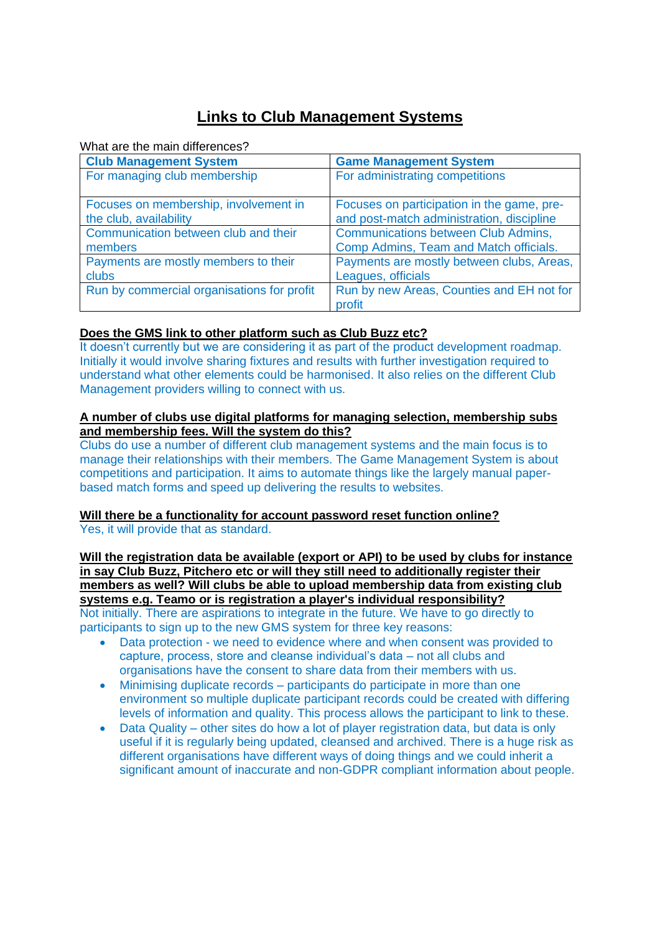# **Links to Club Management Systems**

What are the main differences?

| <b>Club Management System</b>              | <b>Game Management System</b>              |
|--------------------------------------------|--------------------------------------------|
| For managing club membership               | For administrating competitions            |
| Focuses on membership, involvement in      | Focuses on participation in the game, pre- |
| the club, availability                     | and post-match administration, discipline  |
| Communication between club and their       | <b>Communications between Club Admins,</b> |
| members                                    | Comp Admins, Team and Match officials.     |
| Payments are mostly members to their       | Payments are mostly between clubs, Areas,  |
| clubs                                      | Leagues, officials                         |
| Run by commercial organisations for profit | Run by new Areas, Counties and EH not for  |
|                                            | profit                                     |

# **Does the GMS link to other platform such as Club Buzz etc?**

It doesn't currently but we are considering it as part of the product development roadmap. Initially it would involve sharing fixtures and results with further investigation required to understand what other elements could be harmonised. It also relies on the different Club Management providers willing to connect with us.

## **A number of clubs use digital platforms for managing selection, membership subs and membership fees. Will the system do this?**

Clubs do use a number of different club management systems and the main focus is to manage their relationships with their members. The Game Management System is about competitions and participation. It aims to automate things like the largely manual paperbased match forms and speed up delivering the results to websites.

# **Will there be a functionality for account password reset function online?**

Yes, it will provide that as standard.

**Will the registration data be available (export or API) to be used by clubs for instance in say Club Buzz, Pitchero etc or will they still need to additionally register their members as well? Will clubs be able to upload membership data from existing club systems e.g. Teamo or is registration a player's individual responsibility?**  Not initially. There are aspirations to integrate in the future. We have to go directly to participants to sign up to the new GMS system for three key reasons:

- Data protection we need to evidence where and when consent was provided to capture, process, store and cleanse individual's data – not all clubs and organisations have the consent to share data from their members with us.
- Minimising duplicate records participants do participate in more than one environment so multiple duplicate participant records could be created with differing levels of information and quality. This process allows the participant to link to these.
- Data Quality other sites do how a lot of player registration data, but data is only useful if it is regularly being updated, cleansed and archived. There is a huge risk as different organisations have different ways of doing things and we could inherit a significant amount of inaccurate and non-GDPR compliant information about people.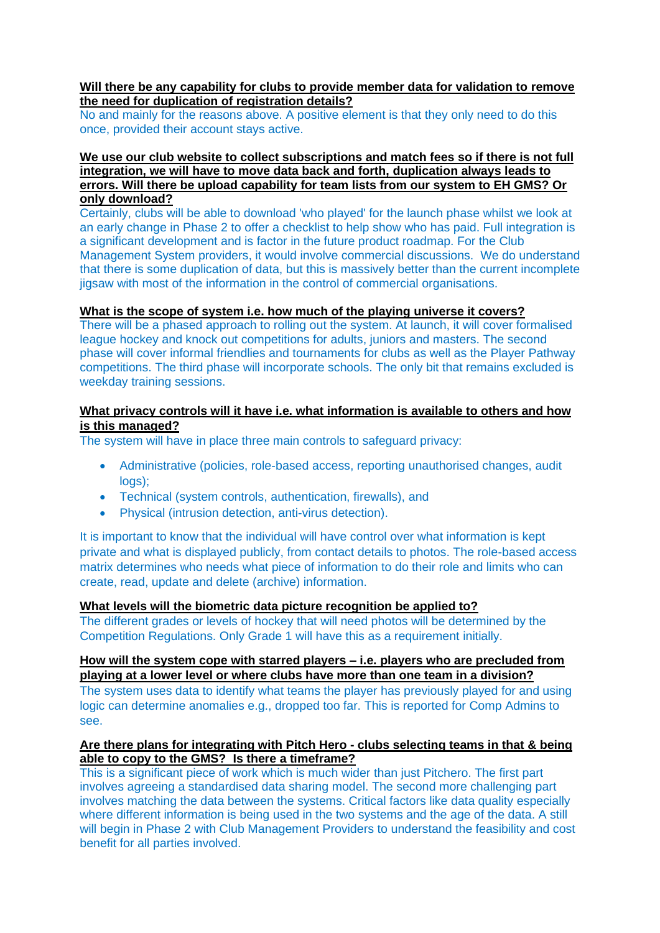## **Will there be any capability for clubs to provide member data for validation to remove the need for duplication of registration details?**

No and mainly for the reasons above. A positive element is that they only need to do this once, provided their account stays active.

### **We use our club website to collect subscriptions and match fees so if there is not full integration, we will have to move data back and forth, duplication always leads to errors. Will there be upload capability for team lists from our system to EH GMS? Or only download?**

Certainly, clubs will be able to download 'who played' for the launch phase whilst we look at an early change in Phase 2 to offer a checklist to help show who has paid. Full integration is a significant development and is factor in the future product roadmap. For the Club Management System providers, it would involve commercial discussions. We do understand that there is some duplication of data, but this is massively better than the current incomplete jigsaw with most of the information in the control of commercial organisations.

## **What is the scope of system i.e. how much of the playing universe it covers?**

There will be a phased approach to rolling out the system. At launch, it will cover formalised league hockey and knock out competitions for adults, juniors and masters. The second phase will cover informal friendlies and tournaments for clubs as well as the Player Pathway competitions. The third phase will incorporate schools. The only bit that remains excluded is weekday training sessions.

# **What privacy controls will it have i.e. what information is available to others and how is this managed?**

The system will have in place three main controls to safeguard privacy:

- Administrative (policies, role-based access, reporting unauthorised changes, audit logs):
- Technical (system controls, authentication, firewalls), and
- Physical (intrusion detection, anti-virus detection).

It is important to know that the individual will have control over what information is kept private and what is displayed publicly, from contact details to photos. The role-based access matrix determines who needs what piece of information to do their role and limits who can create, read, update and delete (archive) information.

#### **What levels will the biometric data picture recognition be applied to?**

The different grades or levels of hockey that will need photos will be determined by the Competition Regulations. Only Grade 1 will have this as a requirement initially.

#### **How will the system cope with starred players – i.e. players who are precluded from playing at a lower level or where clubs have more than one team in a division?**

The system uses data to identify what teams the player has previously played for and using logic can determine anomalies e.g., dropped too far. This is reported for Comp Admins to see.

## **Are there plans for integrating with Pitch Hero - clubs selecting teams in that & being able to copy to the GMS? Is there a timeframe?**

This is a significant piece of work which is much wider than just Pitchero. The first part involves agreeing a standardised data sharing model. The second more challenging part involves matching the data between the systems. Critical factors like data quality especially where different information is being used in the two systems and the age of the data. A still will begin in Phase 2 with Club Management Providers to understand the feasibility and cost benefit for all parties involved.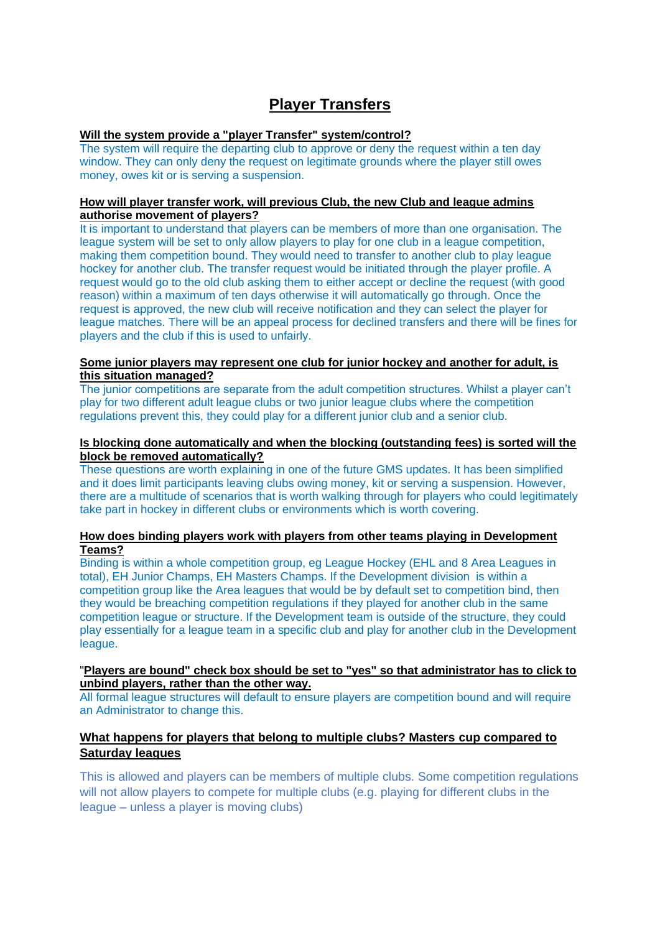# **Player Transfers**

## **Will the system provide a "player Transfer" system/control?**

The system will require the departing club to approve or deny the request within a ten day window. They can only deny the request on legitimate grounds where the player still owes money, owes kit or is serving a suspension.

#### **How will player transfer work, will previous Club, the new Club and league admins authorise movement of players?**

It is important to understand that players can be members of more than one organisation. The league system will be set to only allow players to play for one club in a league competition, making them competition bound. They would need to transfer to another club to play league hockey for another club. The transfer request would be initiated through the player profile. A request would go to the old club asking them to either accept or decline the request (with good reason) within a maximum of ten days otherwise it will automatically go through. Once the request is approved, the new club will receive notification and they can select the player for league matches. There will be an appeal process for declined transfers and there will be fines for players and the club if this is used to unfairly.

#### **Some junior players may represent one club for junior hockey and another for adult, is this situation managed?**

The junior competitions are separate from the adult competition structures. Whilst a player can't play for two different adult league clubs or two junior league clubs where the competition regulations prevent this, they could play for a different junior club and a senior club.

#### **Is blocking done automatically and when the blocking (outstanding fees) is sorted will the block be removed automatically?**

These questions are worth explaining in one of the future GMS updates. It has been simplified and it does limit participants leaving clubs owing money, kit or serving a suspension. However, there are a multitude of scenarios that is worth walking through for players who could legitimately take part in hockey in different clubs or environments which is worth covering.

#### **How does binding players work with players from other teams playing in Development Teams?**

Binding is within a whole competition group, eg League Hockey (EHL and 8 Area Leagues in total), EH Junior Champs, EH Masters Champs. If the Development division is within a competition group like the Area leagues that would be by default set to competition bind, then they would be breaching competition regulations if they played for another club in the same competition league or structure. If the Development team is outside of the structure, they could play essentially for a league team in a specific club and play for another club in the Development league.

## "**Players are bound" check box should be set to "yes" so that administrator has to click to unbind players, rather than the other way.**

All formal league structures will default to ensure players are competition bound and will require an Administrator to change this.

# **What happens for players that belong to multiple clubs? Masters cup compared to Saturday leagues**

This is allowed and players can be members of multiple clubs. Some competition regulations will not allow players to compete for multiple clubs (e.g. playing for different clubs in the league – unless a player is moving clubs)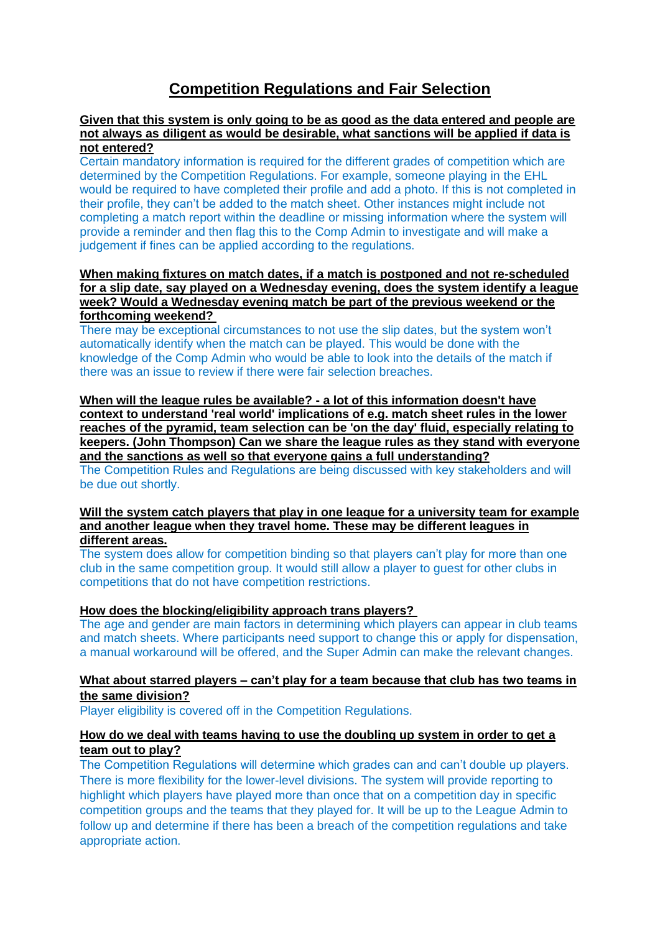# **Competition Regulations and Fair Selection**

### **Given that this system is only going to be as good as the data entered and people are not always as diligent as would be desirable, what sanctions will be applied if data is not entered?**

Certain mandatory information is required for the different grades of competition which are determined by the Competition Regulations. For example, someone playing in the EHL would be required to have completed their profile and add a photo. If this is not completed in their profile, they can't be added to the match sheet. Other instances might include not completing a match report within the deadline or missing information where the system will provide a reminder and then flag this to the Comp Admin to investigate and will make a judgement if fines can be applied according to the regulations.

#### **When making fixtures on match dates, if a match is postponed and not re-scheduled for a slip date, say played on a Wednesday evening, does the system identify a league week? Would a Wednesday evening match be part of the previous weekend or the forthcoming weekend?**

There may be exceptional circumstances to not use the slip dates, but the system won't automatically identify when the match can be played. This would be done with the knowledge of the Comp Admin who would be able to look into the details of the match if there was an issue to review if there were fair selection breaches.

**When will the league rules be available? - a lot of this information doesn't have context to understand 'real world' implications of e.g. match sheet rules in the lower reaches of the pyramid, team selection can be 'on the day' fluid, especially relating to keepers. (John Thompson) Can we share the league rules as they stand with everyone and the sanctions as well so that everyone gains a full understanding?** 

The Competition Rules and Regulations are being discussed with key stakeholders and will be due out shortly.

#### **Will the system catch players that play in one league for a university team for example and another league when they travel home. These may be different leagues in different areas.**

The system does allow for competition binding so that players can't play for more than one club in the same competition group. It would still allow a player to guest for other clubs in competitions that do not have competition restrictions.

#### **How does the blocking/eligibility approach trans players?**

The age and gender are main factors in determining which players can appear in club teams and match sheets. Where participants need support to change this or apply for dispensation, a manual workaround will be offered, and the Super Admin can make the relevant changes.

## **What about starred players – can't play for a team because that club has two teams in the same division?**

Player eligibility is covered off in the Competition Regulations.

# **How do we deal with teams having to use the doubling up system in order to get a team out to play?**

The Competition Regulations will determine which grades can and can't double up players. There is more flexibility for the lower-level divisions. The system will provide reporting to highlight which players have played more than once that on a competition day in specific competition groups and the teams that they played for. It will be up to the League Admin to follow up and determine if there has been a breach of the competition regulations and take appropriate action.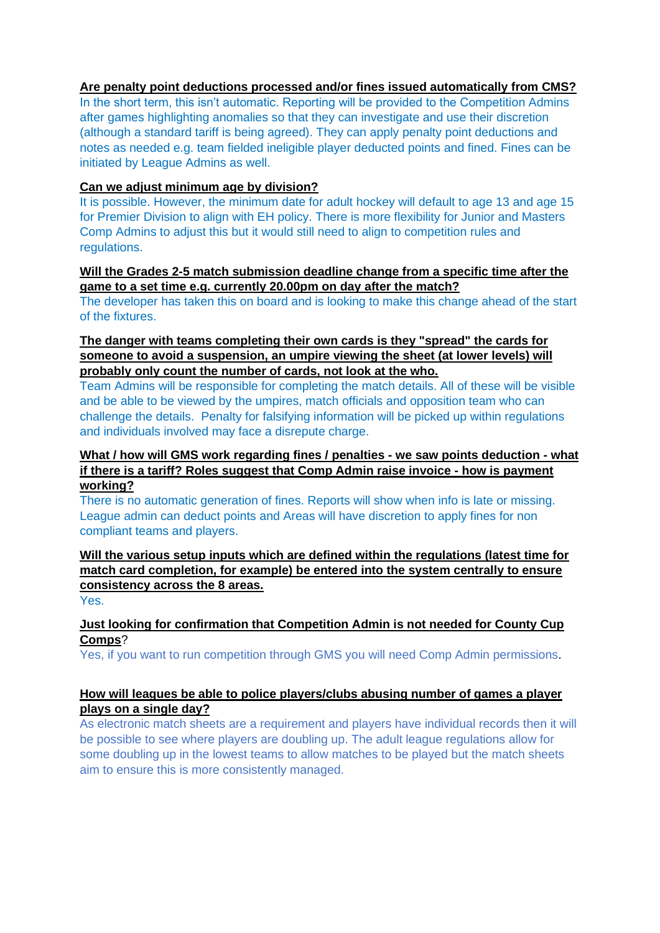# **Are penalty point deductions processed and/or fines issued automatically from CMS?**

In the short term, this isn't automatic. Reporting will be provided to the Competition Admins after games highlighting anomalies so that they can investigate and use their discretion (although a standard tariff is being agreed). They can apply penalty point deductions and notes as needed e.g. team fielded ineligible player deducted points and fined. Fines can be initiated by League Admins as well.

# **Can we adjust minimum age by division?**

It is possible. However, the minimum date for adult hockey will default to age 13 and age 15 for Premier Division to align with EH policy. There is more flexibility for Junior and Masters Comp Admins to adjust this but it would still need to align to competition rules and regulations.

# **Will the Grades 2-5 match submission deadline change from a specific time after the game to a set time e.g. currently 20.00pm on day after the match?**

The developer has taken this on board and is looking to make this change ahead of the start of the fixtures.

# **The danger with teams completing their own cards is they "spread" the cards for someone to avoid a suspension, an umpire viewing the sheet (at lower levels) will probably only count the number of cards, not look at the who.**

Team Admins will be responsible for completing the match details. All of these will be visible and be able to be viewed by the umpires, match officials and opposition team who can challenge the details. Penalty for falsifying information will be picked up within regulations and individuals involved may face a disrepute charge.

## **What / how will GMS work regarding fines / penalties - we saw points deduction - what if there is a tariff? Roles suggest that Comp Admin raise invoice - how is payment working?**

There is no automatic generation of fines. Reports will show when info is late or missing. League admin can deduct points and Areas will have discretion to apply fines for non compliant teams and players.

**Will the various setup inputs which are defined within the regulations (latest time for match card completion, for example) be entered into the system centrally to ensure consistency across the 8 areas.**

Yes.

# **Just looking for confirmation that Competition Admin is not needed for County Cup Comps**?

Yes, if you want to run competition through GMS you will need Comp Admin permissions.

# **How will leagues be able to police players/clubs abusing number of games a player plays on a single day?**

As electronic match sheets are a requirement and players have individual records then it will be possible to see where players are doubling up. The adult league regulations allow for some doubling up in the lowest teams to allow matches to be played but the match sheets aim to ensure this is more consistently managed.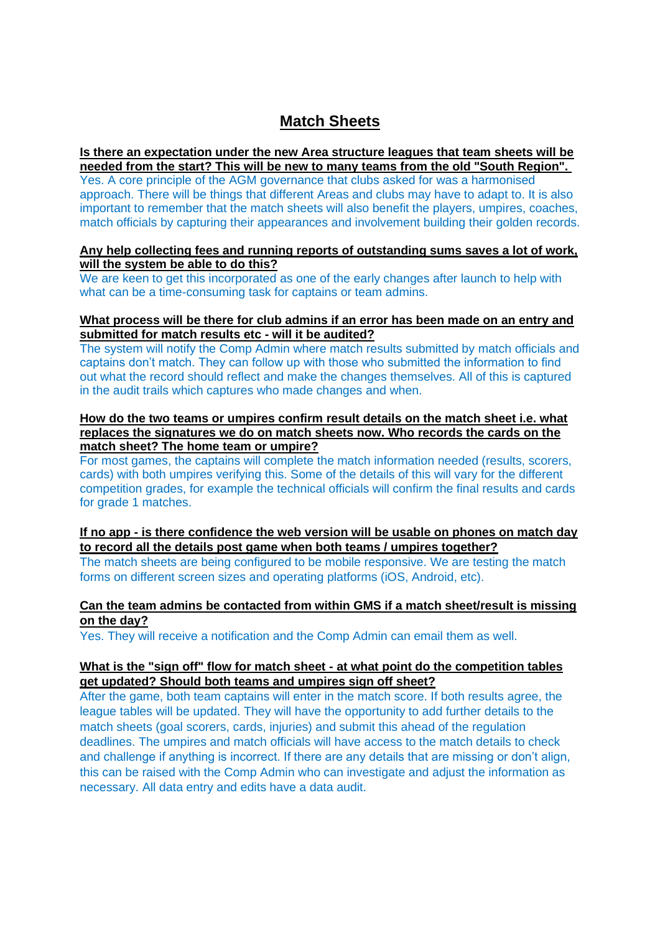# **Match Sheets**

## **Is there an expectation under the new Area structure leagues that team sheets will be needed from the start? This will be new to many teams from the old "South Region".**

Yes. A core principle of the AGM governance that clubs asked for was a harmonised approach. There will be things that different Areas and clubs may have to adapt to. It is also important to remember that the match sheets will also benefit the players, umpires, coaches, match officials by capturing their appearances and involvement building their golden records.

## **Any help collecting fees and running reports of outstanding sums saves a lot of work, will the system be able to do this?**

We are keen to get this incorporated as one of the early changes after launch to help with what can be a time-consuming task for captains or team admins.

## **What process will be there for club admins if an error has been made on an entry and submitted for match results etc - will it be audited?**

The system will notify the Comp Admin where match results submitted by match officials and captains don't match. They can follow up with those who submitted the information to find out what the record should reflect and make the changes themselves. All of this is captured in the audit trails which captures who made changes and when.

### **How do the two teams or umpires confirm result details on the match sheet i.e. what replaces the signatures we do on match sheets now. Who records the cards on the match sheet? The home team or umpire?**

For most games, the captains will complete the match information needed (results, scorers, cards) with both umpires verifying this. Some of the details of this will vary for the different competition grades, for example the technical officials will confirm the final results and cards for grade 1 matches.

# **If no app - is there confidence the web version will be usable on phones on match day to record all the details post game when both teams / umpires together?**

The match sheets are being configured to be mobile responsive. We are testing the match forms on different screen sizes and operating platforms (iOS, Android, etc).

# **Can the team admins be contacted from within GMS if a match sheet/result is missing on the day?**

Yes. They will receive a notification and the Comp Admin can email them as well.

# **What is the "sign off" flow for match sheet - at what point do the competition tables get updated? Should both teams and umpires sign off sheet?**

After the game, both team captains will enter in the match score. If both results agree, the league tables will be updated. They will have the opportunity to add further details to the match sheets (goal scorers, cards, injuries) and submit this ahead of the regulation deadlines. The umpires and match officials will have access to the match details to check and challenge if anything is incorrect. If there are any details that are missing or don't align, this can be raised with the Comp Admin who can investigate and adjust the information as necessary. All data entry and edits have a data audit.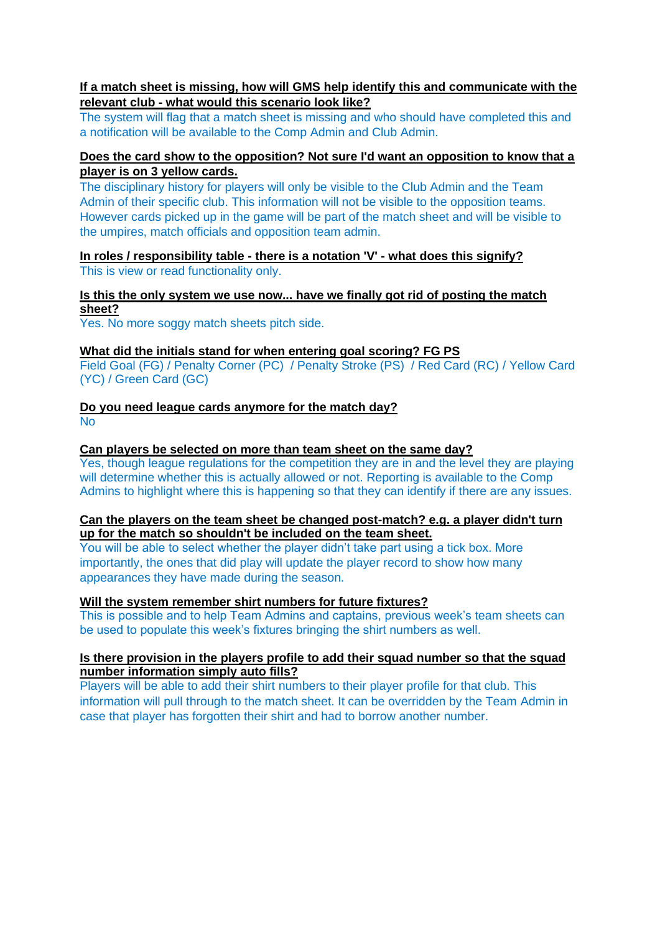# **If a match sheet is missing, how will GMS help identify this and communicate with the relevant club - what would this scenario look like?**

The system will flag that a match sheet is missing and who should have completed this and a notification will be available to the Comp Admin and Club Admin.

# **Does the card show to the opposition? Not sure I'd want an opposition to know that a player is on 3 yellow cards.**

The disciplinary history for players will only be visible to the Club Admin and the Team Admin of their specific club. This information will not be visible to the opposition teams. However cards picked up in the game will be part of the match sheet and will be visible to the umpires, match officials and opposition team admin.

## **In roles / responsibility table - there is a notation 'V' - what does this signify?** This is view or read functionality only.

# **Is this the only system we use now... have we finally got rid of posting the match sheet?**

Yes. No more soggy match sheets pitch side.

#### **What did the initials stand for when entering goal scoring? FG PS**

Field Goal (FG) / Penalty Corner (PC) / Penalty Stroke (PS) / Red Card (RC) / Yellow Card (YC) / Green Card (GC)

**Do you need league cards anymore for the match day? No** 

## **Can players be selected on more than team sheet on the same day?**

Yes, though league regulations for the competition they are in and the level they are playing will determine whether this is actually allowed or not. Reporting is available to the Comp Admins to highlight where this is happening so that they can identify if there are any issues.

## **Can the players on the team sheet be changed post-match? e.g. a player didn't turn up for the match so shouldn't be included on the team sheet.**

You will be able to select whether the player didn't take part using a tick box. More importantly, the ones that did play will update the player record to show how many appearances they have made during the season.

# **Will the system remember shirt numbers for future fixtures?**

This is possible and to help Team Admins and captains, previous week's team sheets can be used to populate this week's fixtures bringing the shirt numbers as well.

# **Is there provision in the players profile to add their squad number so that the squad number information simply auto fills?**

Players will be able to add their shirt numbers to their player profile for that club. This information will pull through to the match sheet. It can be overridden by the Team Admin in case that player has forgotten their shirt and had to borrow another number.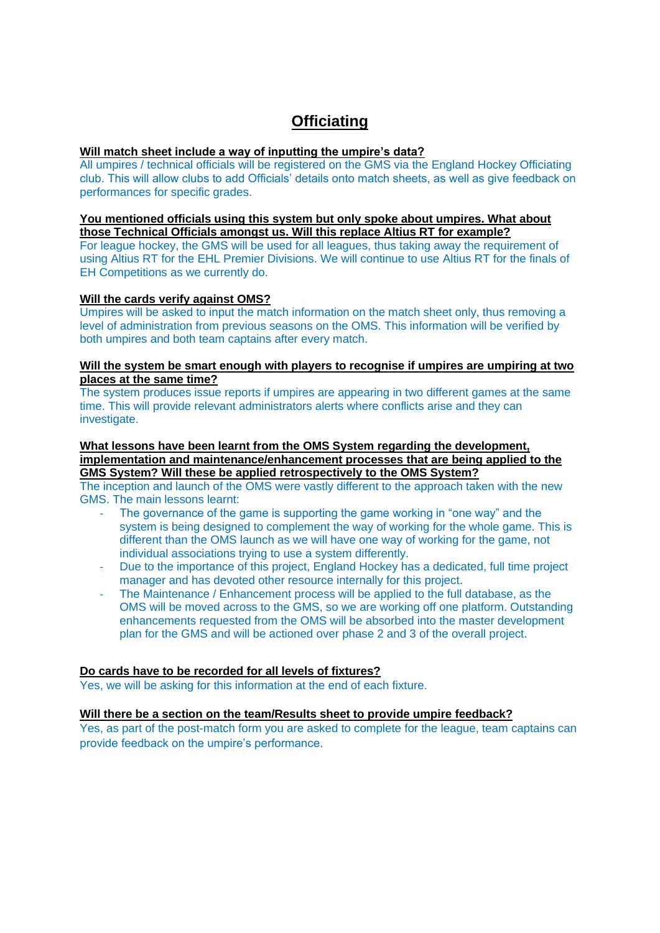# **Officiating**

#### **Will match sheet include a way of inputting the umpire's data?**

All umpires / technical officials will be registered on the GMS via the England Hockey Officiating club. This will allow clubs to add Officials' details onto match sheets, as well as give feedback on performances for specific grades.

#### **You mentioned officials using this system but only spoke about umpires. What about those Technical Officials amongst us. Will this replace Altius RT for example?**

For league hockey, the GMS will be used for all leagues, thus taking away the requirement of using Altius RT for the EHL Premier Divisions. We will continue to use Altius RT for the finals of EH Competitions as we currently do.

#### **Will the cards verify against OMS?**

Umpires will be asked to input the match information on the match sheet only, thus removing a level of administration from previous seasons on the OMS. This information will be verified by both umpires and both team captains after every match.

#### **Will the system be smart enough with players to recognise if umpires are umpiring at two places at the same time?**

The system produces issue reports if umpires are appearing in two different games at the same time. This will provide relevant administrators alerts where conflicts arise and they can investigate.

#### **What lessons have been learnt from the OMS System regarding the development, implementation and maintenance/enhancement processes that are being applied to the GMS System? Will these be applied retrospectively to the OMS System?**

The inception and launch of the OMS were vastly different to the approach taken with the new GMS. The main lessons learnt:

- The governance of the game is supporting the game working in "one way" and the system is being designed to complement the way of working for the whole game. This is different than the OMS launch as we will have one way of working for the game, not individual associations trying to use a system differently.
- Due to the importance of this project, England Hockey has a dedicated, full time project manager and has devoted other resource internally for this project.
- The Maintenance / Enhancement process will be applied to the full database, as the OMS will be moved across to the GMS, so we are working off one platform. Outstanding enhancements requested from the OMS will be absorbed into the master development plan for the GMS and will be actioned over phase 2 and 3 of the overall project.

# **Do cards have to be recorded for all levels of fixtures?**

Yes, we will be asking for this information at the end of each fixture.

#### **Will there be a section on the team/Results sheet to provide umpire feedback?**

Yes, as part of the post-match form you are asked to complete for the league, team captains can provide feedback on the umpire's performance.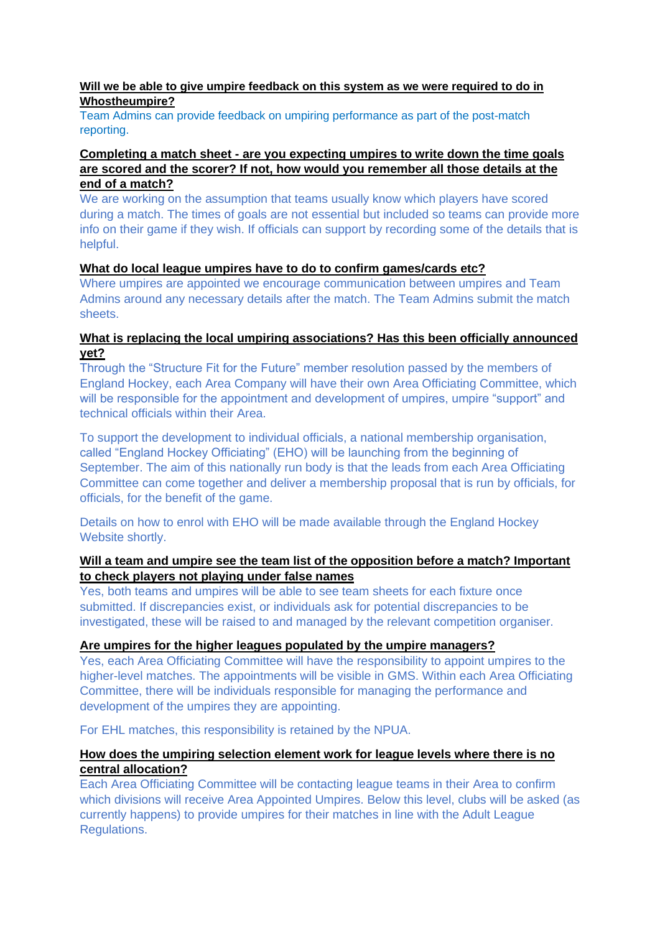## **Will we be able to give umpire feedback on this system as we were required to do in Whostheumpire?**

Team Admins can provide feedback on umpiring performance as part of the post-match reporting.

# **Completing a match sheet - are you expecting umpires to write down the time goals are scored and the scorer? If not, how would you remember all those details at the end of a match?**

We are working on the assumption that teams usually know which players have scored during a match. The times of goals are not essential but included so teams can provide more info on their game if they wish. If officials can support by recording some of the details that is helpful.

# **What do local league umpires have to do to confirm games/cards etc?**

Where umpires are appointed we encourage communication between umpires and Team Admins around any necessary details after the match. The Team Admins submit the match sheets.

# **What is replacing the local umpiring associations? Has this been officially announced yet?**

Through the "Structure Fit for the Future" member resolution passed by the members of England Hockey, each Area Company will have their own Area Officiating Committee, which will be responsible for the appointment and development of umpires, umpire "support" and technical officials within their Area.

To support the development to individual officials, a national membership organisation, called "England Hockey Officiating" (EHO) will be launching from the beginning of September. The aim of this nationally run body is that the leads from each Area Officiating Committee can come together and deliver a membership proposal that is run by officials, for officials, for the benefit of the game.

Details on how to enrol with EHO will be made available through the England Hockey Website shortly.

# **Will a team and umpire see the team list of the opposition before a match? Important to check players not playing under false names**

Yes, both teams and umpires will be able to see team sheets for each fixture once submitted. If discrepancies exist, or individuals ask for potential discrepancies to be investigated, these will be raised to and managed by the relevant competition organiser.

# **Are umpires for the higher leagues populated by the umpire managers?**

Yes, each Area Officiating Committee will have the responsibility to appoint umpires to the higher-level matches. The appointments will be visible in GMS. Within each Area Officiating Committee, there will be individuals responsible for managing the performance and development of the umpires they are appointing.

For EHL matches, this responsibility is retained by the NPUA.

# **How does the umpiring selection element work for league levels where there is no central allocation?**

Each Area Officiating Committee will be contacting league teams in their Area to confirm which divisions will receive Area Appointed Umpires. Below this level, clubs will be asked (as currently happens) to provide umpires for their matches in line with the Adult League Regulations.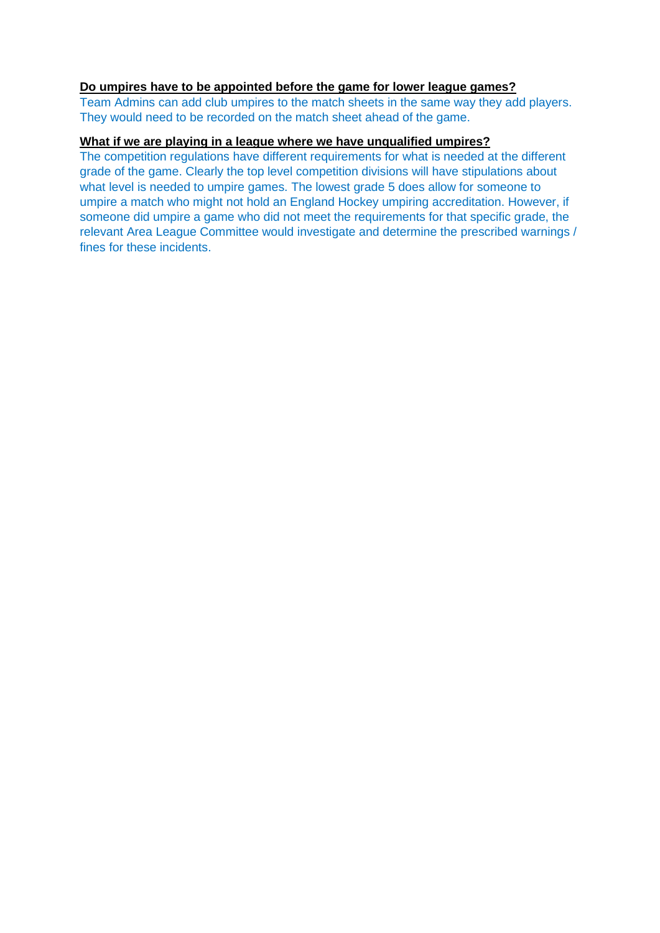### **Do umpires have to be appointed before the game for lower league games?**

Team Admins can add club umpires to the match sheets in the same way they add players. They would need to be recorded on the match sheet ahead of the game.

# **What if we are playing in a league where we have unqualified umpires?**

The competition regulations have different requirements for what is needed at the different grade of the game. Clearly the top level competition divisions will have stipulations about what level is needed to umpire games. The lowest grade 5 does allow for someone to umpire a match who might not hold an England Hockey umpiring accreditation. However, if someone did umpire a game who did not meet the requirements for that specific grade, the relevant Area League Committee would investigate and determine the prescribed warnings / fines for these incidents.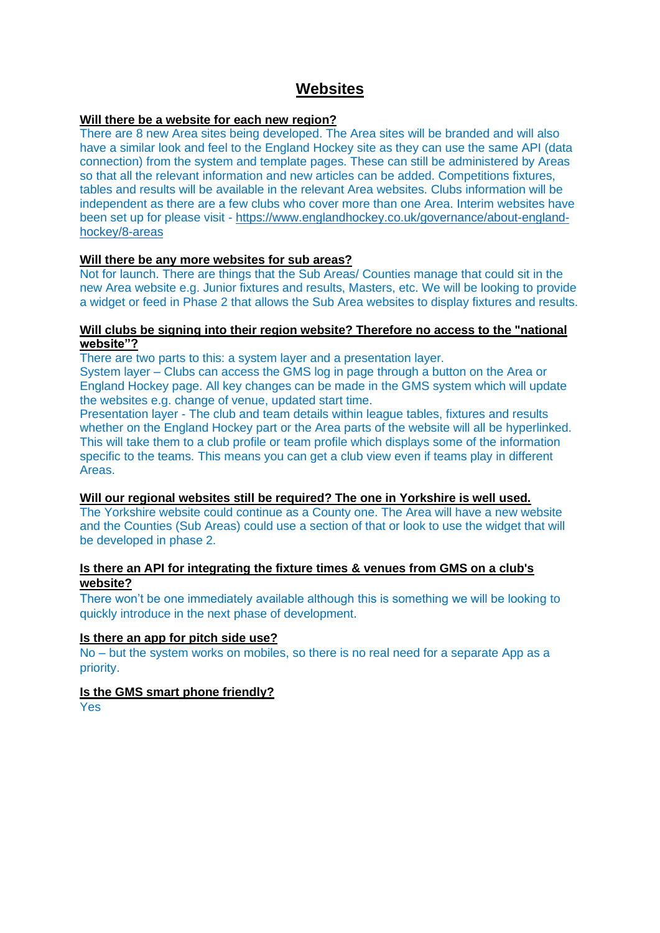# **Websites**

# **Will there be a website for each new region?**

There are 8 new Area sites being developed. The Area sites will be branded and will also have a similar look and feel to the England Hockey site as they can use the same API (data connection) from the system and template pages. These can still be administered by Areas so that all the relevant information and new articles can be added. Competitions fixtures, tables and results will be available in the relevant Area websites. Clubs information will be independent as there are a few clubs who cover more than one Area. Interim websites have been set up for please visit - [https://www.englandhockey.co.uk/governance/about-england](https://www.englandhockey.co.uk/governance/about-england-hockey/8-areas)[hockey/8-areas](https://www.englandhockey.co.uk/governance/about-england-hockey/8-areas)

## **Will there be any more websites for sub areas?**

Not for launch. There are things that the Sub Areas/ Counties manage that could sit in the new Area website e.g. Junior fixtures and results, Masters, etc. We will be looking to provide a widget or feed in Phase 2 that allows the Sub Area websites to display fixtures and results.

## **Will clubs be signing into their region website? Therefore no access to the "national website"?**

There are two parts to this: a system layer and a presentation layer.

System layer – Clubs can access the GMS log in page through a button on the Area or England Hockey page. All key changes can be made in the GMS system which will update the websites e.g. change of venue, updated start time.

Presentation layer - The club and team details within league tables, fixtures and results whether on the England Hockey part or the Area parts of the website will all be hyperlinked. This will take them to a club profile or team profile which displays some of the information specific to the teams. This means you can get a club view even if teams play in different Areas.

#### **Will our regional websites still be required? The one in Yorkshire is well used.**

The Yorkshire website could continue as a County one. The Area will have a new website and the Counties (Sub Areas) could use a section of that or look to use the widget that will be developed in phase 2.

# **Is there an API for integrating the fixture times & venues from GMS on a club's website?**

There won't be one immediately available although this is something we will be looking to quickly introduce in the next phase of development.

#### **Is there an app for pitch side use?**

No – but the system works on mobiles, so there is no real need for a separate App as a priority.

# **Is the GMS smart phone friendly?**

Yes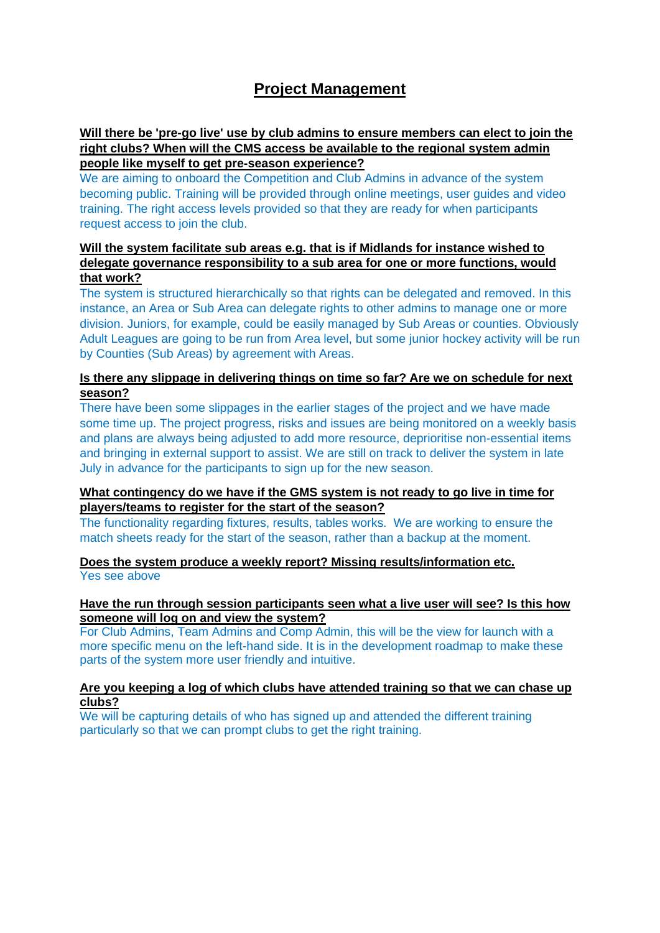# **Project Management**

# **Will there be 'pre-go live' use by club admins to ensure members can elect to join the right clubs? When will the CMS access be available to the regional system admin people like myself to get pre-season experience?**

We are aiming to onboard the Competition and Club Admins in advance of the system becoming public. Training will be provided through online meetings, user guides and video training. The right access levels provided so that they are ready for when participants request access to join the club.

# **Will the system facilitate sub areas e.g. that is if Midlands for instance wished to delegate governance responsibility to a sub area for one or more functions, would that work?**

The system is structured hierarchically so that rights can be delegated and removed. In this instance, an Area or Sub Area can delegate rights to other admins to manage one or more division. Juniors, for example, could be easily managed by Sub Areas or counties. Obviously Adult Leagues are going to be run from Area level, but some junior hockey activity will be run by Counties (Sub Areas) by agreement with Areas.

# **Is there any slippage in delivering things on time so far? Are we on schedule for next season?**

There have been some slippages in the earlier stages of the project and we have made some time up. The project progress, risks and issues are being monitored on a weekly basis and plans are always being adjusted to add more resource, deprioritise non-essential items and bringing in external support to assist. We are still on track to deliver the system in late July in advance for the participants to sign up for the new season.

# **What contingency do we have if the GMS system is not ready to go live in time for players/teams to register for the start of the season?**

The functionality regarding fixtures, results, tables works. We are working to ensure the match sheets ready for the start of the season, rather than a backup at the moment.

# **Does the system produce a weekly report? Missing results/information etc.** Yes see above

## **Have the run through session participants seen what a live user will see? Is this how someone will log on and view the system?**

For Club Admins, Team Admins and Comp Admin, this will be the view for launch with a more specific menu on the left-hand side. It is in the development roadmap to make these parts of the system more user friendly and intuitive.

## **Are you keeping a log of which clubs have attended training so that we can chase up clubs?**

We will be capturing details of who has signed up and attended the different training particularly so that we can prompt clubs to get the right training.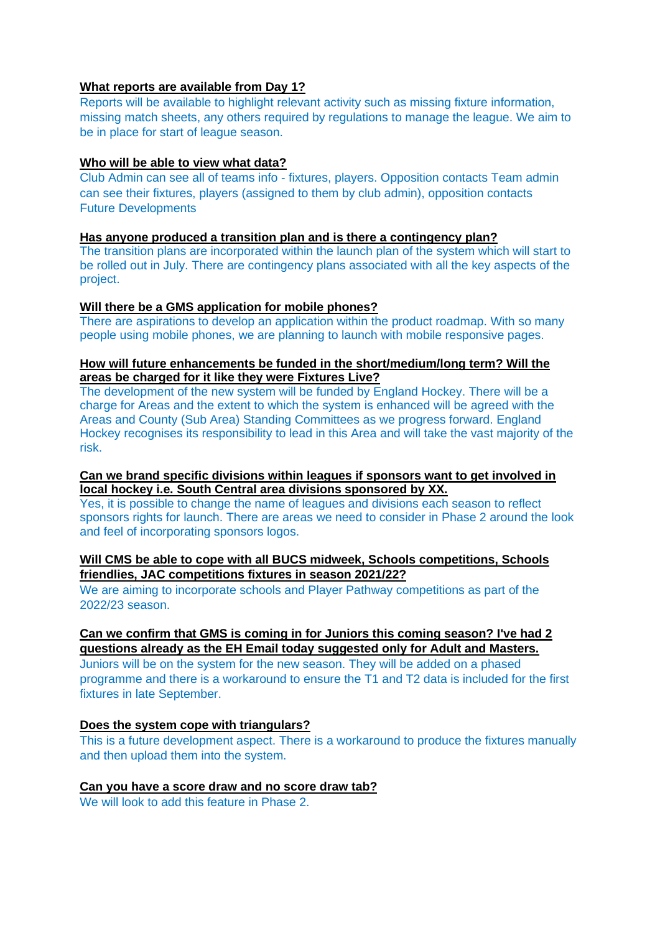# **What reports are available from Day 1?**

Reports will be available to highlight relevant activity such as missing fixture information, missing match sheets, any others required by regulations to manage the league. We aim to be in place for start of league season.

## **Who will be able to view what data?**

Club Admin can see all of teams info - fixtures, players. Opposition contacts Team admin can see their fixtures, players (assigned to them by club admin), opposition contacts Future Developments

# **Has anyone produced a transition plan and is there a contingency plan?**

The transition plans are incorporated within the launch plan of the system which will start to be rolled out in July. There are contingency plans associated with all the key aspects of the project.

## **Will there be a GMS application for mobile phones?**

There are aspirations to develop an application within the product roadmap. With so many people using mobile phones, we are planning to launch with mobile responsive pages.

## **How will future enhancements be funded in the short/medium/long term? Will the areas be charged for it like they were Fixtures Live?**

The development of the new system will be funded by England Hockey. There will be a charge for Areas and the extent to which the system is enhanced will be agreed with the Areas and County (Sub Area) Standing Committees as we progress forward. England Hockey recognises its responsibility to lead in this Area and will take the vast majority of the risk.

## **Can we brand specific divisions within leagues if sponsors want to get involved in local hockey i.e. South Central area divisions sponsored by XX.**

Yes, it is possible to change the name of leagues and divisions each season to reflect sponsors rights for launch. There are areas we need to consider in Phase 2 around the look and feel of incorporating sponsors logos.

# **Will CMS be able to cope with all BUCS midweek, Schools competitions, Schools friendlies, JAC competitions fixtures in season 2021/22?**

We are aiming to incorporate schools and Player Pathway competitions as part of the 2022/23 season.

# **Can we confirm that GMS is coming in for Juniors this coming season? I've had 2 questions already as the EH Email today suggested only for Adult and Masters.**

Juniors will be on the system for the new season. They will be added on a phased programme and there is a workaround to ensure the T1 and T2 data is included for the first fixtures in late September.

# **Does the system cope with triangulars?**

This is a future development aspect. There is a workaround to produce the fixtures manually and then upload them into the system.

### **Can you have a score draw and no score draw tab?**

We will look to add this feature in Phase 2.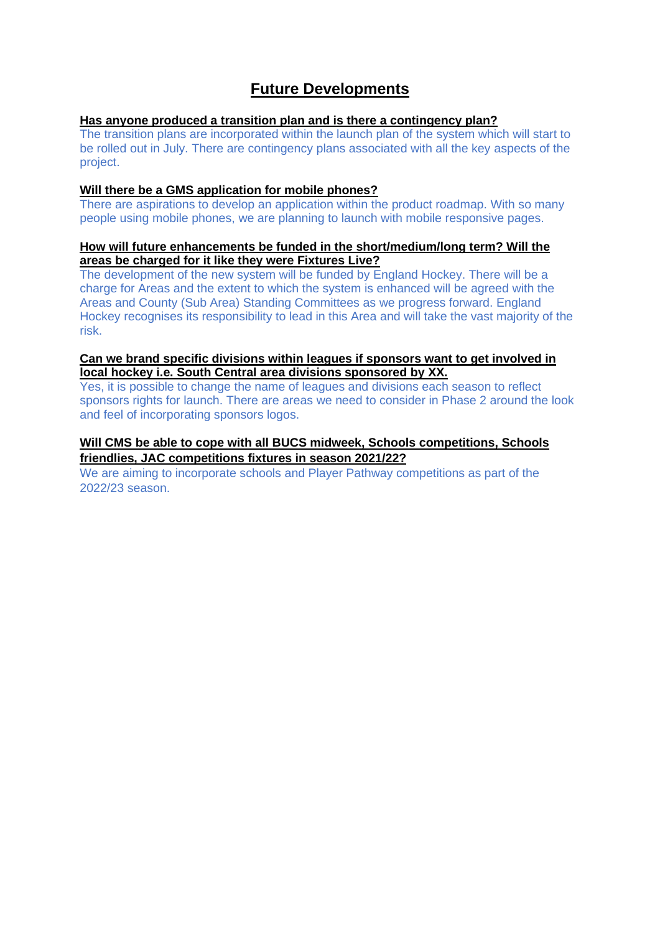# **Future Developments**

# **Has anyone produced a transition plan and is there a contingency plan?**

The transition plans are incorporated within the launch plan of the system which will start to be rolled out in July. There are contingency plans associated with all the key aspects of the project.

## **Will there be a GMS application for mobile phones?**

There are aspirations to develop an application within the product roadmap. With so many people using mobile phones, we are planning to launch with mobile responsive pages.

## **How will future enhancements be funded in the short/medium/long term? Will the areas be charged for it like they were Fixtures Live?**

The development of the new system will be funded by England Hockey. There will be a charge for Areas and the extent to which the system is enhanced will be agreed with the Areas and County (Sub Area) Standing Committees as we progress forward. England Hockey recognises its responsibility to lead in this Area and will take the vast majority of the risk.

# **Can we brand specific divisions within leagues if sponsors want to get involved in local hockey i.e. South Central area divisions sponsored by XX.**

Yes, it is possible to change the name of leagues and divisions each season to reflect sponsors rights for launch. There are areas we need to consider in Phase 2 around the look and feel of incorporating sponsors logos.

# **Will CMS be able to cope with all BUCS midweek, Schools competitions, Schools friendlies, JAC competitions fixtures in season 2021/22?**

We are aiming to incorporate schools and Player Pathway competitions as part of the 2022/23 season.